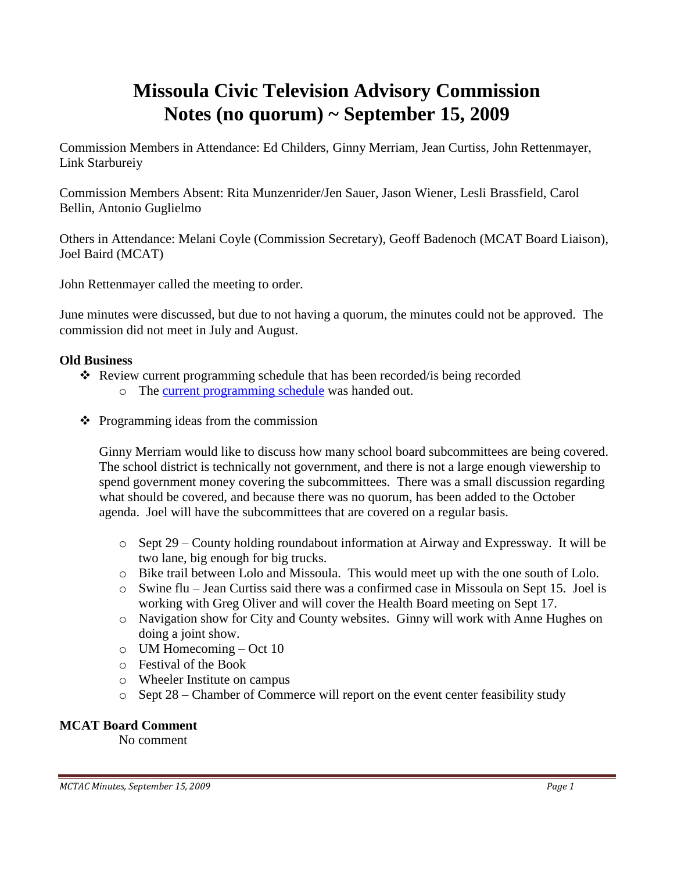# **Missoula Civic Television Advisory Commission Notes (no quorum) ~ September 15, 2009**

Commission Members in Attendance: Ed Childers, Ginny Merriam, Jean Curtiss, John Rettenmayer, Link Starbureiy

Commission Members Absent: Rita Munzenrider/Jen Sauer, Jason Wiener, Lesli Brassfield, Carol Bellin, Antonio Guglielmo

Others in Attendance: Melani Coyle (Commission Secretary), Geoff Badenoch (MCAT Board Liaison), Joel Baird (MCAT)

John Rettenmayer called the meeting to order.

June minutes were discussed, but due to not having a quorum, the minutes could not be approved. The commission did not meet in July and August.

## **Old Business**

- Review current programming schedule that has been recorded/is being recorded
	- o The [current programming schedule](ftp://ftp.ci.missoula.mt.us/Documents/Mayor/GCCAC/2009/090915Programming.pdf) was handed out.
- $\triangle$  Programming ideas from the commission

Ginny Merriam would like to discuss how many school board subcommittees are being covered. The school district is technically not government, and there is not a large enough viewership to spend government money covering the subcommittees. There was a small discussion regarding what should be covered, and because there was no quorum, has been added to the October agenda. Joel will have the subcommittees that are covered on a regular basis.

- $\circ$  Sept 29 County holding roundabout information at Airway and Expressway. It will be two lane, big enough for big trucks.
- o Bike trail between Lolo and Missoula. This would meet up with the one south of Lolo.
- o Swine flu Jean Curtiss said there was a confirmed case in Missoula on Sept 15. Joel is working with Greg Oliver and will cover the Health Board meeting on Sept 17.
- o Navigation show for City and County websites. Ginny will work with Anne Hughes on doing a joint show.
- o UM Homecoming Oct 10
- o Festival of the Book
- o Wheeler Institute on campus
- o Sept 28 Chamber of Commerce will report on the event center feasibility study

## **MCAT Board Comment**

No comment